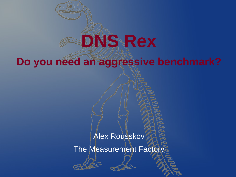## **Do you need an aggressive benchmark?**

**DNS Rex**

#### Alex Rousskov

The Measurement Factory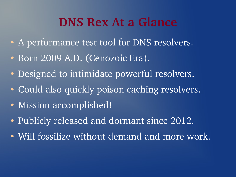### **DNS Rex At a Glance**

- A performance test tool for DNS resolvers.
- Born 2009 A.D. (Cenozoic Era).
- Designed to intimidate powerful resolvers.
- Could also quickly poison caching resolvers.
- Mission accomplished!
- Publicly released and dormant since 2012.
- Will fossilize without demand and more work.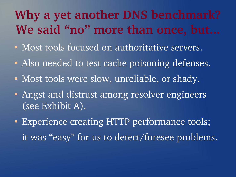# **Why a yet another DNS benchmark? We said "no" more than once, but...**

- Most tools focused on authoritative servers.
- Also needed to test cache poisoning defenses.
- Most tools were slow, unreliable, or shady.
- Angst and distrust among resolver engineers (see Exhibit A).
- Experience creating HTTP performance tools; it was "easy" for us to detect/foresee problems.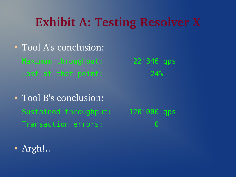## **Exhibit A: Testing Resolver X**

- Tool A's conclusion: Maximum throughput: 22'346 qps Lost at that point: 24%
- Tool B's conclusion: Sustained throughput: 120'000 qps Transaction errors: 0
- 

• Argh!..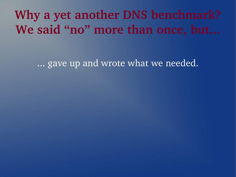**Why a yet another DNS benchmark?** We said "no" more than once, but...

... gave up and wrote what we needed.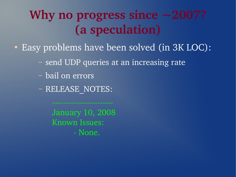# **Why no progress since ~2007? (a speculation)**

- Easy problems have been solved (in 3K LOC):
	- send UDP queries at an increasing rate
	- bail on errors
	- RELEASE\_NOTES:

January 10, 2008 Known Issues: None.

. . . . . . . . . . . . . . . . . .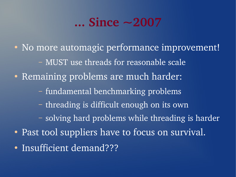## **... Since ~2007**

• No more automagic performance improvement! – MUST use threads for reasonable scale • Remaining problems are much harder: – fundamental benchmarking problems – threading is difficult enough on its own – solving hard problems while threading is harder • Past tool suppliers have to focus on survival. • Insufficient demand???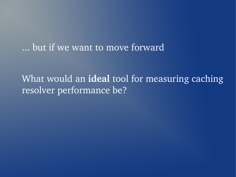... but if we want to move forward

What would an **ideal** tool for measuring caching resolver performance be?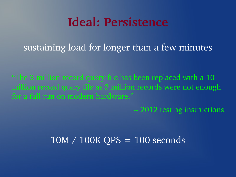### **Ideal: Persistence**

sustaining load for longer than a few minutes

"The 3 million record query file has been replaced with a 10 million record query file as 3 million records were not enough for a full run on modern hardware."

2012 testing instructions

#### $10M / 100K$  QPS = 100 seconds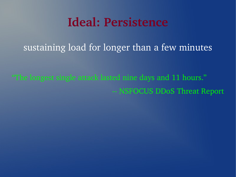### **Ideal: Persistence**

sustaining load for longer than a few minutes

"The longest single attack lasted nine days and 11 hours." NSFOCUS DDoS Threat Report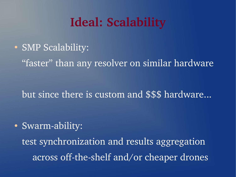## **Ideal: Scalability**

• SMP Scalability:

"faster" than any resolver on similar hardware

but since there is custom and \$\$\$ hardware...

• Swarm-ability:

test synchronization and results aggregation across off-the-shelf and/or cheaper drones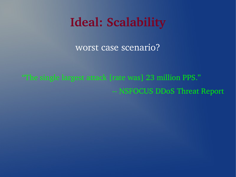## **Ideal: Scalability**

worst case scenario?

"The single largest attack [rate was] 23 million PPS." NSFOCUS DDoS Threat Report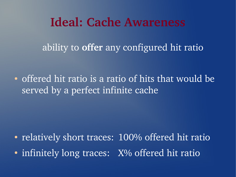#### **Ideal: Cache Awareness**

ability to **offer** any configured hit ratio

• offered hit ratio is a ratio of hits that would be served by a perfect infinite cache

• relatively short traces: 100% offered hit ratio

• infinitely long traces: X% offered hit ratio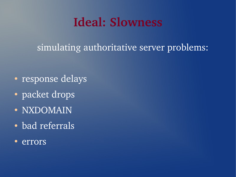## **Ideal: Slowness**

simulating authoritative server problems:

- response delays
- packet drops
- NXDOMAIN
- bad referrals
- errors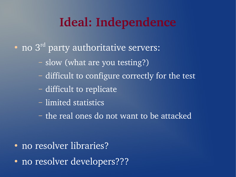## **Ideal: Independence**

- $\bullet$  no  $3^{\text{rd}}$  party authoritative servers:
	- slow (what are you testing?)
	- difficult to configure correctly for the test
	- difficult to replicate
	- limited statistics
	- the real ones do not want to be attacked

- no resolver libraries?
- no resolver developers???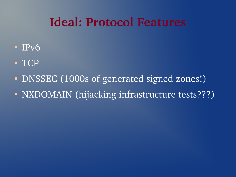## **Ideal: Protocol Features**

- IPv6
- TCP
- DNSSEC (1000s of generated signed zones!)
- NXDOMAIN (hijacking infrastructure tests???)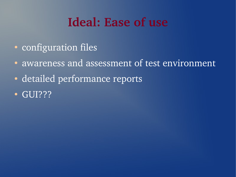## **Ideal: Ease of use**

- configuration files
- awareness and assessment of test environment
- detailed performance reports
- GUI???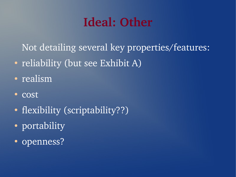## **Ideal: Other**

Not detailing several key properties/features:

- reliability (but see Exhibit A)
- realism
- cost
- flexibility (scriptability??)
- portability
- openness?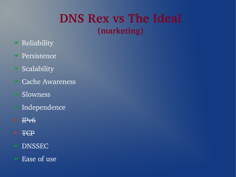#### **DNS Rex vs The Ideal (marketing)**

- **Example 18** Reliability
- **v** Persistence
- $\checkmark$  Scalability
- Cache Awareness
- Slowness
- Independence
- IPv6
- \* TCP
- DNSSEC
- Ease of use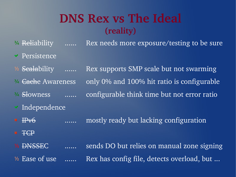#### **DNS Rex vs The Ideal (reality)**

- <sup>3</sup>/4 Reliability ...... Rex needs more exposure/testing to be sure Persistence
- <sup>1/2</sup> Scalability ...... Rex supports SMP scale but not swarming <sup>3/4</sup> <del>Cach</del>e Awareness only 0% and 100% hit ratio is configurable <sup>3/4</sup> Showness ...... configurable think time but not error ratio Independence
- IPv6 ...... mostly ready but lacking configuration
- \* TCP
- ⅕ DNSSEC ...... sends DO but relies on manual zone signing
- $\frac{1}{2}$  Ease of use  $\ldots$ . Rex has config file, detects overload, but  $\ldots$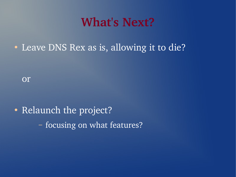#### **What's Next?**

• Leave DNS Rex as is, allowing it to die?

or

• Relaunch the project? – focusing on what features?